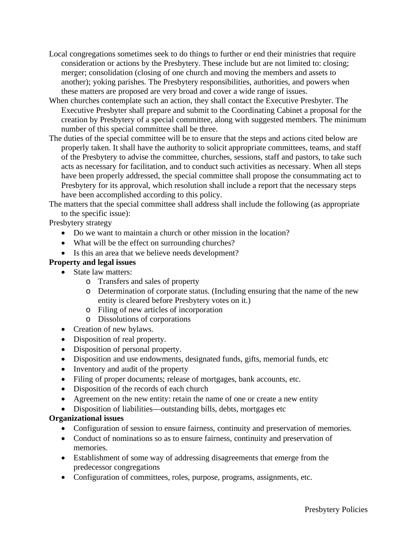- Local congregations sometimes seek to do things to further or end their ministries that require consideration or actions by the Presbytery. These include but are not limited to: closing; merger; consolidation (closing of one church and moving the members and assets to another); yoking parishes. The Presbytery responsibilities, authorities, and powers when these matters are proposed are very broad and cover a wide range of issues.
- When churches contemplate such an action, they shall contact the Executive Presbyter. The Executive Presbyter shall prepare and submit to the Coordinating Cabinet a proposal for the creation by Presbytery of a special committee, along with suggested members. The minimum number of this special committee shall be three.
- The duties of the special committee will be to ensure that the steps and actions cited below are properly taken. It shall have the authority to solicit appropriate committees, teams, and staff of the Presbytery to advise the committee, churches, sessions, staff and pastors, to take such acts as necessary for facilitation, and to conduct such activities as necessary. When all steps have been properly addressed, the special committee shall propose the consummating act to Presbytery for its approval, which resolution shall include a report that the necessary steps have been accomplished according to this policy.

The matters that the special committee shall address shall include the following (as appropriate to the specific issue):

Presbytery strategy

- Do we want to maintain a church or other mission in the location?
- What will be the effect on surrounding churches?
- Is this an area that we believe needs development?

### **Property and legal issues**

- State law matters:
	- o Transfers and sales of property
	- o Determination of corporate status. (Including ensuring that the name of the new entity is cleared before Presbytery votes on it.)
	- o Filing of new articles of incorporation
	- o Dissolutions of corporations
- Creation of new bylaws.
- Disposition of real property.
- Disposition of personal property.
- Disposition and use endowments, designated funds, gifts, memorial funds, etc
- Inventory and audit of the property
- Filing of proper documents; release of mortgages, bank accounts, etc.
- Disposition of the records of each church
- Agreement on the new entity: retain the name of one or create a new entity
- Disposition of liabilities—outstanding bills, debts, mortgages etc

### **Organizational issues**

- Configuration of session to ensure fairness, continuity and preservation of memories.
- Conduct of nominations so as to ensure fairness, continuity and preservation of memories.
- Establishment of some way of addressing disagreements that emerge from the predecessor congregations
- Configuration of committees, roles, purpose, programs, assignments, etc.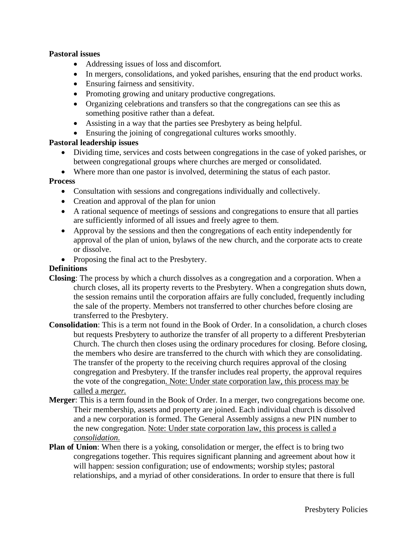### **Pastoral issues**

- Addressing issues of loss and discomfort.
- In mergers, consolidations, and yoked parishes, ensuring that the end product works.
- Ensuring fairness and sensitivity.
- Promoting growing and unitary productive congregations.
- Organizing celebrations and transfers so that the congregations can see this as something positive rather than a defeat.
- Assisting in a way that the parties see Presbytery as being helpful.
- Ensuring the joining of congregational cultures works smoothly.

### **Pastoral leadership issues**

- Dividing time, services and costs between congregations in the case of yoked parishes, or between congregational groups where churches are merged or consolidated.
- Where more than one pastor is involved, determining the status of each pastor.

### **Process**

- Consultation with sessions and congregations individually and collectively.
- Creation and approval of the plan for union
- A rational sequence of meetings of sessions and congregations to ensure that all parties are sufficiently informed of all issues and freely agree to them.
- Approval by the sessions and then the congregations of each entity independently for approval of the plan of union, bylaws of the new church, and the corporate acts to create or dissolve.
- Proposing the final act to the Presbytery.

### **Definitions**

- **Closing**: The process by which a church dissolves as a congregation and a corporation. When a church closes, all its property reverts to the Presbytery. When a congregation shuts down, the session remains until the corporation affairs are fully concluded, frequently including the sale of the property. Members not transferred to other churches before closing are transferred to the Presbytery.
- **Consolidation**: This is a term not found in the Book of Order. In a consolidation, a church closes but requests Presbytery to authorize the transfer of all property to a different Presbyterian Church. The church then closes using the ordinary procedures for closing. Before closing, the members who desire are transferred to the church with which they are consolidating. The transfer of the property to the receiving church requires approval of the closing congregation and Presbytery. If the transfer includes real property, the approval requires the vote of the congregation. Note: Under state corporation law, this process may be called a *merger.*
- **Merger**: This is a term found in the Book of Order. In a merger, two congregations become one. Their membership, assets and property are joined. Each individual church is dissolved and a new corporation is formed. The General Assembly assigns a new PIN number to the new congregation. Note: Under state corporation law, this process is called a *consolidation*.
- **Plan of Union**: When there is a yoking, consolidation or merger, the effect is to bring two congregations together. This requires significant planning and agreement about how it will happen: session configuration; use of endowments; worship styles; pastoral relationships, and a myriad of other considerations. In order to ensure that there is full